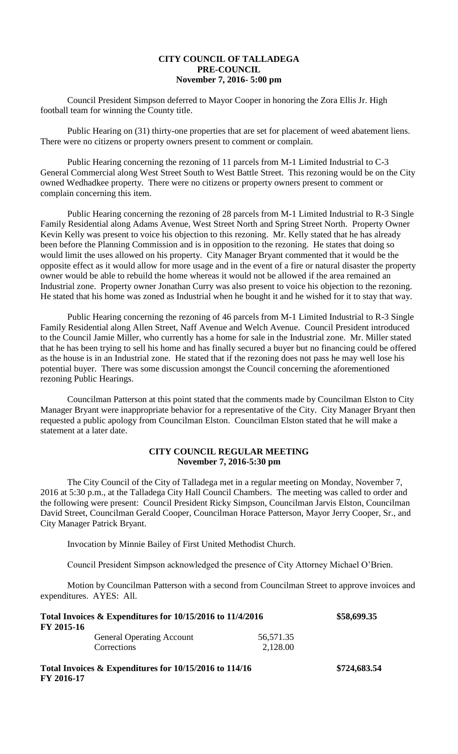## **CITY COUNCIL OF TALLADEGA PRE-COUNCIL November 7, 2016- 5:00 pm**

Council President Simpson deferred to Mayor Cooper in honoring the Zora Ellis Jr. High football team for winning the County title.

Public Hearing on (31) thirty-one properties that are set for placement of weed abatement liens. There were no citizens or property owners present to comment or complain.

Public Hearing concerning the rezoning of 11 parcels from M-1 Limited Industrial to C-3 General Commercial along West Street South to West Battle Street. This rezoning would be on the City owned Wedhadkee property. There were no citizens or property owners present to comment or complain concerning this item.

Public Hearing concerning the rezoning of 28 parcels from M-1 Limited Industrial to R-3 Single Family Residential along Adams Avenue, West Street North and Spring Street North. Property Owner Kevin Kelly was present to voice his objection to this rezoning. Mr. Kelly stated that he has already been before the Planning Commission and is in opposition to the rezoning. He states that doing so would limit the uses allowed on his property. City Manager Bryant commented that it would be the opposite effect as it would allow for more usage and in the event of a fire or natural disaster the property owner would be able to rebuild the home whereas it would not be allowed if the area remained an Industrial zone. Property owner Jonathan Curry was also present to voice his objection to the rezoning. He stated that his home was zoned as Industrial when he bought it and he wished for it to stay that way.

Public Hearing concerning the rezoning of 46 parcels from M-1 Limited Industrial to R-3 Single Family Residential along Allen Street, Naff Avenue and Welch Avenue. Council President introduced to the Council Jamie Miller, who currently has a home for sale in the Industrial zone. Mr. Miller stated that he has been trying to sell his home and has finally secured a buyer but no financing could be offered as the house is in an Industrial zone. He stated that if the rezoning does not pass he may well lose his potential buyer. There was some discussion amongst the Council concerning the aforementioned rezoning Public Hearings.

Councilman Patterson at this point stated that the comments made by Councilman Elston to City Manager Bryant were inappropriate behavior for a representative of the City. City Manager Bryant then requested a public apology from Councilman Elston. Councilman Elston stated that he will make a statement at a later date.

## **CITY COUNCIL REGULAR MEETING November 7, 2016-5:30 pm**

The City Council of the City of Talladega met in a regular meeting on Monday, November 7, 2016 at 5:30 p.m., at the Talladega City Hall Council Chambers. The meeting was called to order and the following were present: Council President Ricky Simpson, Councilman Jarvis Elston, Councilman David Street, Councilman Gerald Cooper, Councilman Horace Patterson, Mayor Jerry Cooper, Sr., and City Manager Patrick Bryant.

Invocation by Minnie Bailey of First United Methodist Church.

Council President Simpson acknowledged the presence of City Attorney Michael O'Brien.

Motion by Councilman Patterson with a second from Councilman Street to approve invoices and expenditures. AYES: All.

| Total Invoices & Expenditures for 10/15/2016 to 11/4/2016 | \$58,699.35                      |           |   |  |
|-----------------------------------------------------------|----------------------------------|-----------|---|--|
| FY 2015-16                                                |                                  |           |   |  |
|                                                           | <b>General Operating Account</b> | 56,571.35 |   |  |
|                                                           | Corrections                      | 2,128.00  |   |  |
|                                                           |                                  |           | . |  |

**Total Invoices & Expenditures for 10/15/2016 to 114/16 \$724,683.54 FY 2016-17**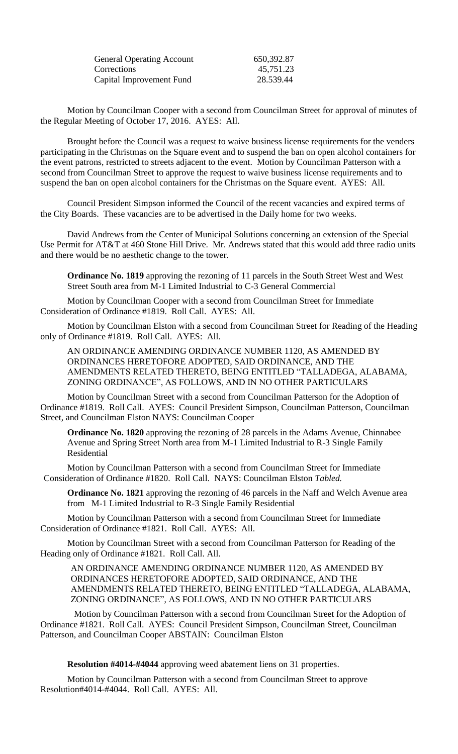| <b>General Operating Account</b> | 650,392.87 |
|----------------------------------|------------|
| Corrections                      | 45,751.23  |
| Capital Improvement Fund         | 28.539.44  |

Motion by Councilman Cooper with a second from Councilman Street for approval of minutes of the Regular Meeting of October 17, 2016. AYES: All.

Brought before the Council was a request to waive business license requirements for the venders participating in the Christmas on the Square event and to suspend the ban on open alcohol containers for the event patrons, restricted to streets adjacent to the event. Motion by Councilman Patterson with a second from Councilman Street to approve the request to waive business license requirements and to suspend the ban on open alcohol containers for the Christmas on the Square event. AYES: All.

Council President Simpson informed the Council of the recent vacancies and expired terms of the City Boards. These vacancies are to be advertised in the Daily home for two weeks.

David Andrews from the Center of Municipal Solutions concerning an extension of the Special Use Permit for AT&T at 460 Stone Hill Drive. Mr. Andrews stated that this would add three radio units and there would be no aesthetic change to the tower.

**Ordinance No. 1819** approving the rezoning of 11 parcels in the South Street West and West Street South area from M-1 Limited Industrial to C-3 General Commercial

Motion by Councilman Cooper with a second from Councilman Street for Immediate Consideration of Ordinance #1819. Roll Call. AYES: All.

Motion by Councilman Elston with a second from Councilman Street for Reading of the Heading only of Ordinance #1819. Roll Call. AYES: All.

AN ORDINANCE AMENDING ORDINANCE NUMBER 1120, AS AMENDED BY ORDINANCES HERETOFORE ADOPTED, SAID ORDINANCE, AND THE AMENDMENTS RELATED THERETO, BEING ENTITLED "TALLADEGA, ALABAMA, ZONING ORDINANCE", AS FOLLOWS, AND IN NO OTHER PARTICULARS

Motion by Councilman Street with a second from Councilman Patterson for the Adoption of Ordinance #1819. Roll Call. AYES: Council President Simpson, Councilman Patterson, Councilman Street, and Councilman Elston NAYS: Councilman Cooper

**Ordinance No. 1820** approving the rezoning of 28 parcels in the Adams Avenue, Chinnabee Avenue and Spring Street North area from M-1 Limited Industrial to R-3 Single Family Residential

Motion by Councilman Patterson with a second from Councilman Street for Immediate Consideration of Ordinance #1820. Roll Call. NAYS: Councilman Elston *Tabled.*

**Ordinance No. 1821** approving the rezoning of 46 parcels in the Naff and Welch Avenue area from M-1 Limited Industrial to R-3 Single Family Residential

Motion by Councilman Patterson with a second from Councilman Street for Immediate Consideration of Ordinance #1821. Roll Call. AYES: All.

Motion by Councilman Street with a second from Councilman Patterson for Reading of the Heading only of Ordinance #1821. Roll Call. All.

AN ORDINANCE AMENDING ORDINANCE NUMBER 1120, AS AMENDED BY ORDINANCES HERETOFORE ADOPTED, SAID ORDINANCE, AND THE AMENDMENTS RELATED THERETO, BEING ENTITLED "TALLADEGA, ALABAMA, ZONING ORDINANCE", AS FOLLOWS, AND IN NO OTHER PARTICULARS

Motion by Councilman Patterson with a second from Councilman Street for the Adoption of Ordinance #1821. Roll Call. AYES: Council President Simpson, Councilman Street, Councilman Patterson, and Councilman Cooper ABSTAIN: Councilman Elston

**Resolution #4014-#4044** approving weed abatement liens on 31 properties.

Motion by Councilman Patterson with a second from Councilman Street to approve Resolution#4014-#4044. Roll Call. AYES: All.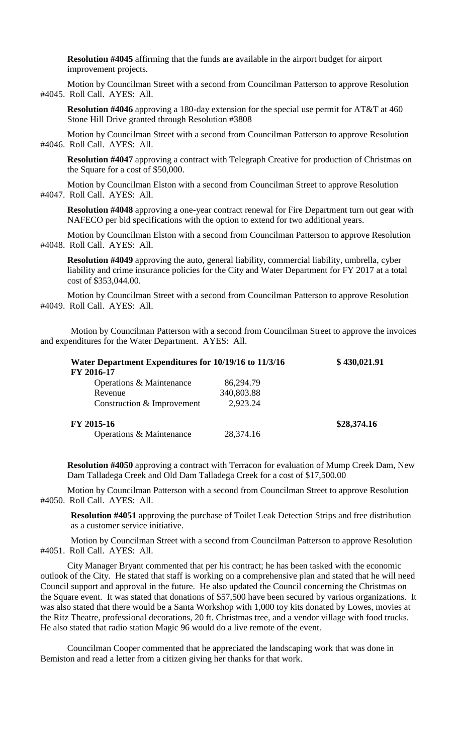**Resolution #4045** affirming that the funds are available in the airport budget for airport improvement projects.

Motion by Councilman Street with a second from Councilman Patterson to approve Resolution #4045. Roll Call. AYES: All.

**Resolution #4046** approving a 180-day extension for the special use permit for AT&T at 460 Stone Hill Drive granted through Resolution #3808

Motion by Councilman Street with a second from Councilman Patterson to approve Resolution #4046. Roll Call. AYES: All.

**Resolution #4047** approving a contract with Telegraph Creative for production of Christmas on the Square for a cost of \$50,000.

Motion by Councilman Elston with a second from Councilman Street to approve Resolution #4047. Roll Call. AYES: All.

**Resolution #4048** approving a one-year contract renewal for Fire Department turn out gear with NAFECO per bid specifications with the option to extend for two additional years.

Motion by Councilman Elston with a second from Councilman Patterson to approve Resolution #4048. Roll Call. AYES: All.

**Resolution #4049** approving the auto, general liability, commercial liability, umbrella, cyber liability and crime insurance policies for the City and Water Department for FY 2017 at a total cost of \$353,044.00.

Motion by Councilman Street with a second from Councilman Patterson to approve Resolution #4049. Roll Call. AYES: All.

Motion by Councilman Patterson with a second from Councilman Street to approve the invoices and expenditures for the Water Department. AYES: All.

| Water Department Expenditures for 10/19/16 to 11/3/16<br>FY 2016-17 | \$430,021.91 |             |
|---------------------------------------------------------------------|--------------|-------------|
| Operations & Maintenance                                            | 86,294.79    |             |
| Revenue                                                             | 340,803.88   |             |
| Construction & Improvement                                          | 2,923.24     |             |
| FY 2015-16                                                          |              | \$28,374.16 |
| Operations & Maintenance                                            | 28,374.16    |             |

**Resolution #4050** approving a contract with Terracon for evaluation of Mump Creek Dam, New Dam Talladega Creek and Old Dam Talladega Creek for a cost of \$17,500.00

Motion by Councilman Patterson with a second from Councilman Street to approve Resolution #4050. Roll Call. AYES: All.

**Resolution #4051** approving the purchase of Toilet Leak Detection Strips and free distribution as a customer service initiative.

Motion by Councilman Street with a second from Councilman Patterson to approve Resolution #4051. Roll Call. AYES: All.

City Manager Bryant commented that per his contract; he has been tasked with the economic outlook of the City. He stated that staff is working on a comprehensive plan and stated that he will need Council support and approval in the future. He also updated the Council concerning the Christmas on the Square event. It was stated that donations of \$57,500 have been secured by various organizations. It was also stated that there would be a Santa Workshop with 1,000 toy kits donated by Lowes, movies at the Ritz Theatre, professional decorations, 20 ft. Christmas tree, and a vendor village with food trucks. He also stated that radio station Magic 96 would do a live remote of the event.

Councilman Cooper commented that he appreciated the landscaping work that was done in Bemiston and read a letter from a citizen giving her thanks for that work.